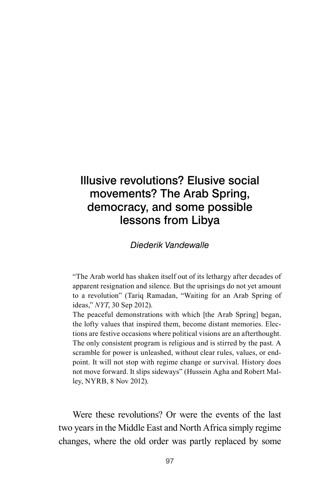# Illusive revolutions? Elusive social movements? The Arab Spring, democracy, and some possible lessons from Libya

#### *Diederik Vandewalle*

"The Arab world has shaken itself out of its lethargy after decades of apparent resignation and silence. But the uprisings do not yet amount to a revolution" (Tariq Ramadan, "Waiting for an Arab Spring of ideas," *NYT*, 30 Sep 2012).

The peaceful demonstrations with which [the Arab Spring] began, the lofty values that inspired them, become distant memories. Elections are festive occasions where political visions are an afterthought. The only consistent program is religious and is stirred by the past. A scramble for power is unleashed, without clear rules, values, or endpoint. It will not stop with regime change or survival. History does not move forward. It slips sideways" (Hussein Agha and Robert Malley, NYRB, 8 Nov 2012).

Were these revolutions? Or were the events of the last two years in the Middle East and North Africa simply regime changes, where the old order was partly replaced by some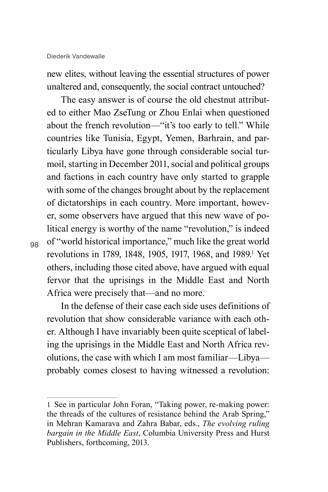new elites, without leaving the essential structures of power unaltered and, consequently, the social contract untouched?

The easy answer is of course the old chestnut attributed to either Mao ZseTung or Zhou Enlai when questioned about the french revolution—"it's too early to tell." While countries like Tunisia, Egypt, Yemen, Barhrain, and particularly Libya have gone through considerable social turmoil, starting in December 2011, social and political groups and factions in each country have only started to grapple with some of the changes brought about by the replacement of dictatorships in each country. More important, however, some observers have argued that this new wave of political energy is worthy of the name "revolution," is indeed of "world historical importance," much like the great world revolutions in 1789, 1848, 1905, 1917, 1968, and 1989.<sup>1</sup> Yet others, including those cited above, have argued with equal fervor that the uprisings in the Middle East and North Africa were precisely that—and no more.

In the defense of their case each side uses definitions of revolution that show considerable variance with each other. Although I have invariably been quite sceptical of labeling the uprisings in the Middle East and North Africa revolutions, the case with which I am most familiar—Libya probably comes closest to having witnessed a revolution:

<sup>1</sup> See in particular John Foran, "Taking power, re-making power: the threads of the cultures of resistance behind the Arab Spring," in Mehran Kamarava and Zahra Babar, eds., *The evolving ruling bargain in the Middle East*, Columbia University Press and Hurst Publishers, forthcoming, 2013.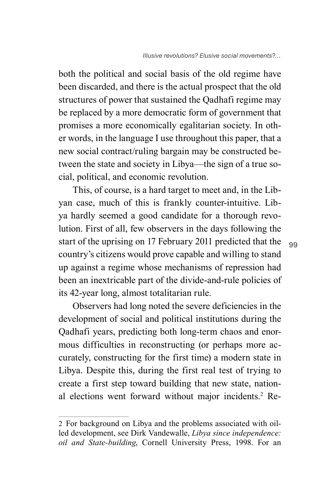both the political and social basis of the old regime have been discarded, and there is the actual prospect that the old structures of power that sustained the Qadhafi regime may be replaced by a more democratic form of government that promises a more economically egalitarian society. In other words, in the language I use throughout this paper, that a new social contract/ruling bargain may be constructed between the state and society in Libya—the sign of a true social, political, and economic revolution.

This, of course, is a hard target to meet and, in the Libyan case, much of this is frankly counter-intuitive. Libya hardly seemed a good candidate for a thorough revolution. First of all, few observers in the days following the start of the uprising on 17 February 2011 predicted that the country's citizens would prove capable and willing to stand up against a regime whose mechanisms of repression had been an inextricable part of the divide-and-rule policies of its 42-year long, almost totalitarian rule.

Observers had long noted the severe deficiencies in the development of social and political institutions during the Qadhafi years, predicting both long-term chaos and enormous difficulties in reconstructing (or perhaps more accurately, constructing for the first time) a modern state in Libya. Despite this, during the first real test of trying to create a first step toward building that new state, national elections went forward without major incidents.<sup>2</sup> Re-

<sup>2</sup> For background on Libya and the problems associated with oilled development, see Dirk Vandewalle, *Libya since independence: oil and State-building*, Cornell University Press, 1998. For an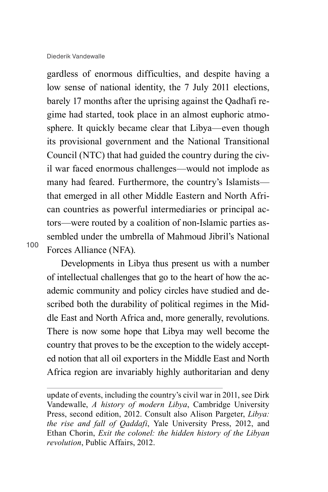Diederik Vandewalle

gardless of enormous difficulties, and despite having a low sense of national identity, the 7 July 2011 elections, barely 17 months after the uprising against the Qadhafi regime had started, took place in an almost euphoric atmosphere. It quickly became clear that Libya—even though its provisional government and the National Transitional Council (NTC) that had guided the country during the civil war faced enormous challenges—would not implode as many had feared. Furthermore, the country's Islamists that emerged in all other Middle Eastern and North African countries as powerful intermediaries or principal actors—were routed by a coalition of non-Islamic parties assembled under the umbrella of Mahmoud Jibril's National Forces Alliance (NFA).

100

Developments in Libya thus present us with a number of intellectual challenges that go to the heart of how the academic community and policy circles have studied and described both the durability of political regimes in the Middle East and North Africa and, more generally, revolutions. There is now some hope that Libya may well become the country that proves to be the exception to the widely accepted notion that all oil exporters in the Middle East and North Africa region are invariably highly authoritarian and deny

update of events, including the country's civil war in 2011, see Dirk Vandewalle, *A history of modern Libya*, Cambridge University Press, second edition, 2012. Consult also Alison Pargeter, *Libya: the rise and fall of Qaddafi*, Yale University Press, 2012, and Ethan Chorin, *Exit the colonel: the hidden history of the Libyan revolution*, Public Affairs, 2012.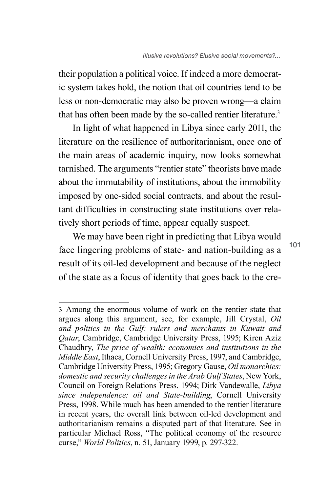their population a political voice. If indeed a more democratic system takes hold, the notion that oil countries tend to be less or non-democratic may also be proven wrong—a claim that has often been made by the so-called rentier literature.<sup>3</sup>

In light of what happened in Libya since early 2011, the literature on the resilience of authoritarianism, once one of the main areas of academic inquiry, now looks somewhat tarnished. The arguments "rentier state" theorists have made about the immutability of institutions, about the immobility imposed by one-sided social contracts, and about the resultant difficulties in constructing state institutions over relatively short periods of time, appear equally suspect.

We may have been right in predicting that Libya would face lingering problems of state- and nation-building as a result of its oil-led development and because of the neglect of the state as a focus of identity that goes back to the cre-

<sup>3</sup> Among the enormous volume of work on the rentier state that argues along this argument, see, for example, Jill Crystal, *Oil and politics in the Gulf: rulers and merchants in Kuwait and Qatar*, Cambridge, Cambridge University Press, 1995; Kiren Aziz Chaudhry, *The price of wealth: economies and institutions in the Middle East*, Ithaca, Cornell University Press, 1997, and Cambridge, Cambridge University Press, 1995; Gregory Gause, *Oil monarchies: domestic and security challenges in the Arab Gulf States*, New York, Council on Foreign Relations Press, 1994; Dirk Vandewalle, *Libya since independence: oil and State-building*, Cornell University Press, 1998. While much has been amended to the rentier literature in recent years, the overall link between oil-led development and authoritarianism remains a disputed part of that literature. See in particular Michael Ross, "The political economy of the resource curse," *World Politics*, n. 51, January 1999, p. 297-322.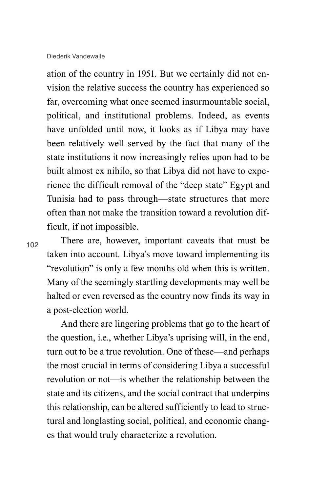ation of the country in 1951. But we certainly did not envision the relative success the country has experienced so far, overcoming what once seemed insurmountable social, political, and institutional problems. Indeed, as events have unfolded until now, it looks as if Libya may have been relatively well served by the fact that many of the state institutions it now increasingly relies upon had to be built almost ex nihilo, so that Libya did not have to experience the difficult removal of the "deep state" Egypt and Tunisia had to pass through—state structures that more often than not make the transition toward a revolution difficult, if not impossible.

102

There are, however, important caveats that must be taken into account. Libya's move toward implementing its "revolution" is only a few months old when this is written. Many of the seemingly startling developments may well be halted or even reversed as the country now finds its way in a post-election world.

And there are lingering problems that go to the heart of the question, i.e., whether Libya's uprising will, in the end, turn out to be a true revolution. One of these—and perhaps the most crucial in terms of considering Libya a successful revolution or not—is whether the relationship between the state and its citizens, and the social contract that underpins this relationship, can be altered sufficiently to lead to structural and longlasting social, political, and economic changes that would truly characterize a revolution.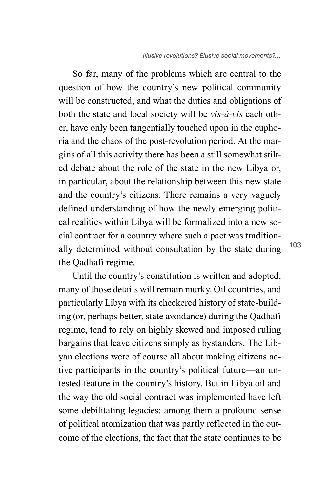So far, many of the problems which are central to the question of how the country's new political community will be constructed, and what the duties and obligations of both the state and local society will be *vis-à-vis* each other, have only been tangentially touched upon in the euphoria and the chaos of the post-revolution period. At the margins of all this activity there has been a still somewhat stilted debate about the role of the state in the new Libya or, in particular, about the relationship between this new state and the country's citizens. There remains a very vaguely defined understanding of how the newly emerging political realities within Libya will be formalized into a new social contract for a country where such a pact was traditionally determined without consultation by the state during the Qadhafi regime.

Until the country's constitution is written and adopted, many of those details will remain murky. Oil countries, and particularly Libya with its checkered history of state-building (or, perhaps better, state avoidance) during the Qadhafi regime, tend to rely on highly skewed and imposed ruling bargains that leave citizens simply as bystanders. The Libyan elections were of course all about making citizens active participants in the country's political future—an untested feature in the country's history. But in Libya oil and the way the old social contract was implemented have left some debilitating legacies: among them a profound sense of political atomization that was partly reflected in the outcome of the elections, the fact that the state continues to be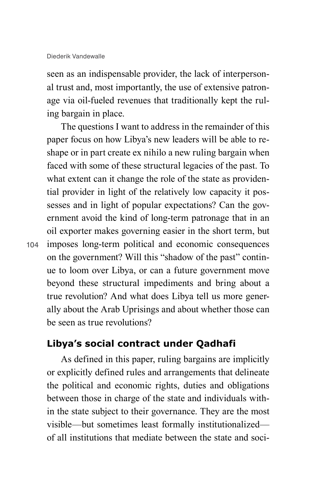seen as an indispensable provider, the lack of interpersonal trust and, most importantly, the use of extensive patronage via oil-fueled revenues that traditionally kept the ruling bargain in place.

The questions I want to address in the remainder of this paper focus on how Libya's new leaders will be able to reshape or in part create ex nihilo a new ruling bargain when faced with some of these structural legacies of the past. To what extent can it change the role of the state as providential provider in light of the relatively low capacity it possesses and in light of popular expectations? Can the government avoid the kind of long-term patronage that in an oil exporter makes governing easier in the short term, but imposes long-term political and economic consequences on the government? Will this "shadow of the past" continue to loom over Libya, or can a future government move beyond these structural impediments and bring about a true revolution? And what does Libya tell us more generally about the Arab Uprisings and about whether those can be seen as true revolutions?

### **Libya's social contract under Qadhafi**

As defined in this paper, ruling bargains are implicitly or explicitly defined rules and arrangements that delineate the political and economic rights, duties and obligations between those in charge of the state and individuals within the state subject to their governance. They are the most visible—but sometimes least formally institutionalized of all institutions that mediate between the state and soci-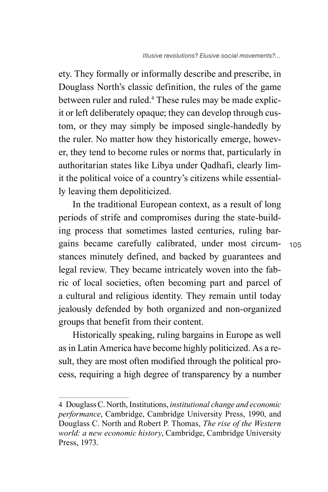ety. They formally or informally describe and prescribe, in Douglass North's classic definition, the rules of the game between ruler and ruled.4 These rules may be made explicit or left deliberately opaque; they can develop through custom, or they may simply be imposed single-handedly by the ruler. No matter how they historically emerge, however, they tend to become rules or norms that, particularly in authoritarian states like Libya under Qadhafi, clearly limit the political voice of a country's citizens while essentially leaving them depoliticized.

In the traditional European context, as a result of long periods of strife and compromises during the state-building process that sometimes lasted centuries, ruling bargains became carefully calibrated, under most circumstances minutely defined, and backed by guarantees and legal review. They became intricately woven into the fabric of local societies, often becoming part and parcel of a cultural and religious identity. They remain until today jealously defended by both organized and non-organized groups that benefit from their content.

Historically speaking, ruling bargains in Europe as well as in Latin America have become highly politicized. As a result, they are most often modified through the political process, requiring a high degree of transparency by a number

<sup>4</sup> Douglass C. North, Institutions, *institutional change and economic performance*, Cambridge, Cambridge University Press, 1990, and Douglass C. North and Robert P. Thomas, *The rise of the Western world: a new economic history*, Cambridge, Cambridge University Press, 1973.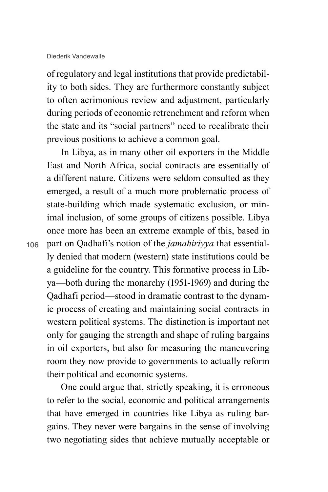of regulatory and legal institutions that provide predictability to both sides. They are furthermore constantly subject to often acrimonious review and adjustment, particularly during periods of economic retrenchment and reform when the state and its "social partners" need to recalibrate their previous positions to achieve a common goal.

In Libya, as in many other oil exporters in the Middle East and North Africa, social contracts are essentially of a different nature. Citizens were seldom consulted as they emerged, a result of a much more problematic process of state-building which made systematic exclusion, or minimal inclusion, of some groups of citizens possible. Libya once more has been an extreme example of this, based in part on Qadhafi's notion of the *jamahiriyya* that essentially denied that modern (western) state institutions could be a guideline for the country. This formative process in Libya—both during the monarchy (1951-1969) and during the Qadhafi period—stood in dramatic contrast to the dynamic process of creating and maintaining social contracts in western political systems. The distinction is important not only for gauging the strength and shape of ruling bargains in oil exporters, but also for measuring the maneuvering room they now provide to governments to actually reform their political and economic systems.

One could argue that, strictly speaking, it is erroneous to refer to the social, economic and political arrangements that have emerged in countries like Libya as ruling bargains. They never were bargains in the sense of involving two negotiating sides that achieve mutually acceptable or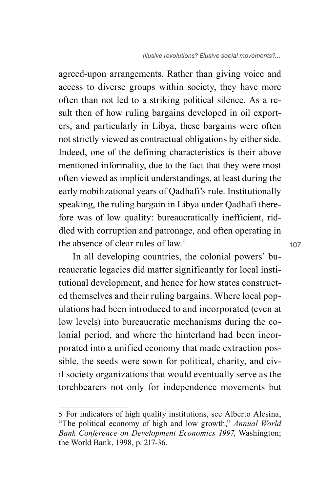*Illusive revolutions? Elusive social movements?…*

agreed-upon arrangements. Rather than giving voice and access to diverse groups within society, they have more often than not led to a striking political silence. As a result then of how ruling bargains developed in oil exporters, and particularly in Libya, these bargains were often not strictly viewed as contractual obligations by either side. Indeed, one of the defining characteristics is their above mentioned informality, due to the fact that they were most often viewed as implicit understandings, at least during the early mobilizational years of Qadhafi's rule. Institutionally speaking, the ruling bargain in Libya under Qadhafi therefore was of low quality: bureaucratically inefficient, riddled with corruption and patronage, and often operating in the absence of clear rules of law.5

In all developing countries, the colonial powers' bureaucratic legacies did matter significantly for local institutional development, and hence for how states constructed themselves and their ruling bargains. Where local populations had been introduced to and incorporated (even at low levels) into bureaucratic mechanisms during the colonial period, and where the hinterland had been incorporated into a unified economy that made extraction possible, the seeds were sown for political, charity, and civil society organizations that would eventually serve as the torchbearers not only for independence movements but

<sup>5</sup> For indicators of high quality institutions, see Alberto Alesina, "The political economy of high and low growth," *Annual World Bank Conference on Development Economics 1997*, Washington; the World Bank, 1998, p. 217-36.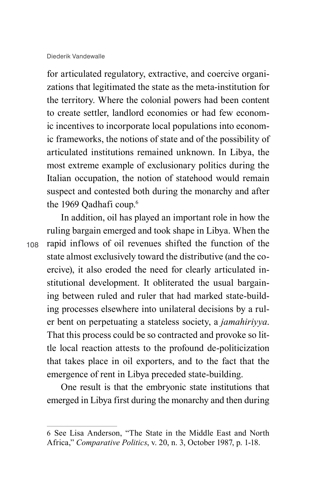for articulated regulatory, extractive, and coercive organizations that legitimated the state as the meta-institution for the territory. Where the colonial powers had been content to create settler, landlord economies or had few economic incentives to incorporate local populations into economic frameworks, the notions of state and of the possibility of articulated institutions remained unknown. In Libya, the most extreme example of exclusionary politics during the Italian occupation, the notion of statehood would remain suspect and contested both during the monarchy and after the 1969 Oadhafi coup.<sup>6</sup>

108

In addition, oil has played an important role in how the ruling bargain emerged and took shape in Libya. When the rapid inflows of oil revenues shifted the function of the state almost exclusively toward the distributive (and the coercive), it also eroded the need for clearly articulated institutional development. It obliterated the usual bargaining between ruled and ruler that had marked state-building processes elsewhere into unilateral decisions by a ruler bent on perpetuating a stateless society, a *jamahiriyya*. That this process could be so contracted and provoke so little local reaction attests to the profound de-politicization that takes place in oil exporters, and to the fact that the emergence of rent in Libya preceded state-building.

One result is that the embryonic state institutions that emerged in Libya first during the monarchy and then during

<sup>6</sup> See Lisa Anderson, "The State in the Middle East and North Africa," *Comparative Politics*, v. 20, n. 3, October 1987, p. 1-18.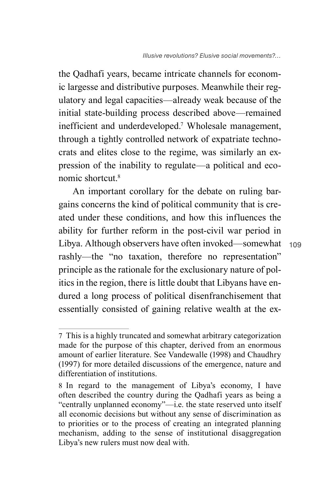the Qadhafi years, became intricate channels for economic largesse and distributive purposes. Meanwhile their regulatory and legal capacities—already weak because of the initial state-building process described above—remained inefficient and underdeveloped.7 Wholesale management, through a tightly controlled network of expatriate technocrats and elites close to the regime, was similarly an expression of the inability to regulate—a political and economic shortcut<sup>8</sup>

An important corollary for the debate on ruling bargains concerns the kind of political community that is created under these conditions, and how this influences the ability for further reform in the post-civil war period in Libya. Although observers have often invoked—somewhat rashly—the "no taxation, therefore no representation" principle as the rationale for the exclusionary nature of politics in the region, there is little doubt that Libyans have endured a long process of political disenfranchisement that essentially consisted of gaining relative wealth at the ex-

<sup>7</sup> This is a highly truncated and somewhat arbitrary categorization made for the purpose of this chapter, derived from an enormous amount of earlier literature. See Vandewalle (1998) and Chaudhry (1997) for more detailed discussions of the emergence, nature and differentiation of institutions.

<sup>8</sup> In regard to the management of Libya's economy, I have often described the country during the Qadhafi years as being a "centrally unplanned economy"—i.e. the state reserved unto itself all economic decisions but without any sense of discrimination as to priorities or to the process of creating an integrated planning mechanism, adding to the sense of institutional disaggregation Libya's new rulers must now deal with.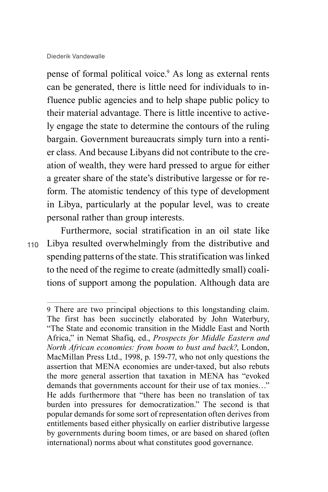pense of formal political voice.<sup>9</sup> As long as external rents can be generated, there is little need for individuals to influence public agencies and to help shape public policy to their material advantage. There is little incentive to actively engage the state to determine the contours of the ruling bargain. Government bureaucrats simply turn into a rentier class. And because Libyans did not contribute to the creation of wealth, they were hard pressed to argue for either a greater share of the state's distributive largesse or for reform. The atomistic tendency of this type of development in Libya, particularly at the popular level, was to create personal rather than group interests.

110

Furthermore, social stratification in an oil state like Libya resulted overwhelmingly from the distributive and spending patterns of the state. This stratification was linked to the need of the regime to create (admittedly small) coalitions of support among the population. Although data are

<sup>9</sup> There are two principal objections to this longstanding claim. The first has been succinctly elaborated by John Waterbury, "The State and economic transition in the Middle East and North Africa," in Nemat Shafiq, ed., *Prospects for Middle Eastern and North African economies: from boom to bust and back?*, London, MacMillan Press Ltd., 1998, p. 159-77, who not only questions the assertion that MENA economies are under-taxed, but also rebuts the more general assertion that taxation in MENA has "evoked demands that governments account for their use of tax monies…" He adds furthermore that "there has been no translation of tax burden into pressures for democratization." The second is that popular demands for some sort of representation often derives from entitlements based either physically on earlier distributive largesse by governments during boom times, or are based on shared (often international) norms about what constitutes good governance.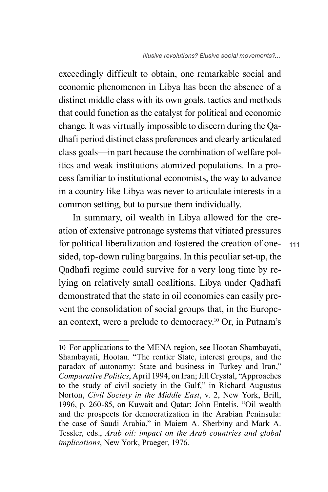exceedingly difficult to obtain, one remarkable social and economic phenomenon in Libya has been the absence of a distinct middle class with its own goals, tactics and methods that could function as the catalyst for political and economic change. It was virtually impossible to discern during the Qadhafi period distinct class preferences and clearly articulated class goals—in part because the combination of welfare politics and weak institutions atomized populations. In a process familiar to institutional economists, the way to advance in a country like Libya was never to articulate interests in a common setting, but to pursue them individually.

In summary, oil wealth in Libya allowed for the creation of extensive patronage systems that vitiated pressures for political liberalization and fostered the creation of onesided, top-down ruling bargains. In this peculiar set-up, the Qadhafi regime could survive for a very long time by relying on relatively small coalitions. Libya under Qadhafi demonstrated that the state in oil economies can easily prevent the consolidation of social groups that, in the European context, were a prelude to democracy.10 Or, in Putnam's

<sup>10</sup> For applications to the MENA region, see Hootan Shambayati, Shambayati, Hootan. "The rentier State, interest groups, and the paradox of autonomy: State and business in Turkey and Iran," *Comparative Politics*, April 1994, on Iran; Jill Crystal, "Approaches to the study of civil society in the Gulf," in Richard Augustus Norton, *Civil Society in the Middle East*, v. 2, New York, Brill, 1996, p. 260-85, on Kuwait and Qatar; John Entelis, "Oil wealth and the prospects for democratization in the Arabian Peninsula: the case of Saudi Arabia," in Maiem A. Sherbiny and Mark A. Tessler, eds., *Arab oil: impact on the Arab countries and global implications*, New York, Praeger, 1976.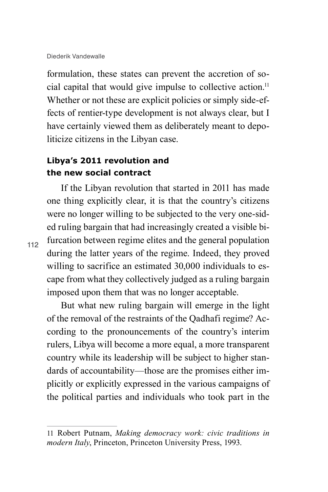formulation, these states can prevent the accretion of social capital that would give impulse to collective action.11 Whether or not these are explicit policies or simply side-effects of rentier-type development is not always clear, but I have certainly viewed them as deliberately meant to depoliticize citizens in the Libyan case.

## **Libya's 2011 revolution and the new social contract**

If the Libyan revolution that started in 2011 has made one thing explicitly clear, it is that the country's citizens were no longer willing to be subjected to the very one-sided ruling bargain that had increasingly created a visible bifurcation between regime elites and the general population during the latter years of the regime. Indeed, they proved willing to sacrifice an estimated 30,000 individuals to escape from what they collectively judged as a ruling bargain imposed upon them that was no longer acceptable.

But what new ruling bargain will emerge in the light of the removal of the restraints of the Qadhafi regime? According to the pronouncements of the country's interim rulers, Libya will become a more equal, a more transparent country while its leadership will be subject to higher standards of accountability—those are the promises either implicitly or explicitly expressed in the various campaigns of the political parties and individuals who took part in the

<sup>11</sup> Robert Putnam, *Making democracy work: civic traditions in modern Italy*, Princeton, Princeton University Press, 1993.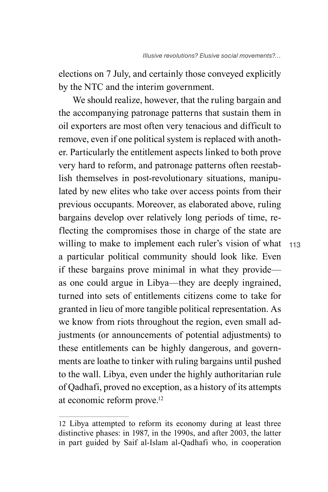elections on 7 July, and certainly those conveyed explicitly by the NTC and the interim government.

We should realize, however, that the ruling bargain and the accompanying patronage patterns that sustain them in oil exporters are most often very tenacious and difficult to remove, even if one political system is replaced with another. Particularly the entitlement aspects linked to both prove very hard to reform, and patronage patterns often reestablish themselves in post-revolutionary situations, manipulated by new elites who take over access points from their previous occupants. Moreover, as elaborated above, ruling bargains develop over relatively long periods of time, reflecting the compromises those in charge of the state are willing to make to implement each ruler's vision of what a particular political community should look like. Even if these bargains prove minimal in what they provide as one could argue in Libya—they are deeply ingrained, turned into sets of entitlements citizens come to take for granted in lieu of more tangible political representation. As we know from riots throughout the region, even small adjustments (or announcements of potential adjustments) to these entitlements can be highly dangerous, and governments are loathe to tinker with ruling bargains until pushed to the wall. Libya, even under the highly authoritarian rule of Qadhafi, proved no exception, as a history of its attempts at economic reform prove.12

<sup>12</sup> Libya attempted to reform its economy during at least three distinctive phases: in 1987, in the 1990s, and after 2003, the latter in part guided by Saif al-Islam al-Qadhafi who, in cooperation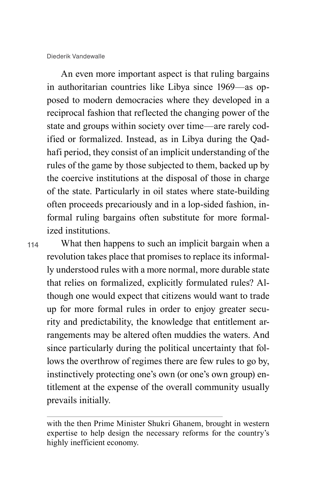An even more important aspect is that ruling bargains in authoritarian countries like Libya since 1969—as opposed to modern democracies where they developed in a reciprocal fashion that reflected the changing power of the state and groups within society over time—are rarely codified or formalized. Instead, as in Libya during the Qadhafi period, they consist of an implicit understanding of the rules of the game by those subjected to them, backed up by the coercive institutions at the disposal of those in charge of the state. Particularly in oil states where state-building often proceeds precariously and in a lop-sided fashion, informal ruling bargains often substitute for more formalized institutions.

114

What then happens to such an implicit bargain when a revolution takes place that promises to replace its informally understood rules with a more normal, more durable state that relies on formalized, explicitly formulated rules? Although one would expect that citizens would want to trade up for more formal rules in order to enjoy greater security and predictability, the knowledge that entitlement arrangements may be altered often muddies the waters. And since particularly during the political uncertainty that follows the overthrow of regimes there are few rules to go by, instinctively protecting one's own (or one's own group) entitlement at the expense of the overall community usually prevails initially.

with the then Prime Minister Shukri Ghanem, brought in western expertise to help design the necessary reforms for the country's highly inefficient economy.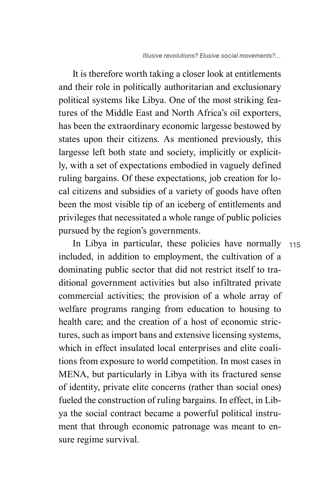115

It is therefore worth taking a closer look at entitlements and their role in politically authoritarian and exclusionary political systems like Libya. One of the most striking features of the Middle East and North Africa's oil exporters, has been the extraordinary economic largesse bestowed by states upon their citizens. As mentioned previously, this largesse left both state and society, implicitly or explicitly, with a set of expectations embodied in vaguely defined ruling bargains. Of these expectations, job creation for local citizens and subsidies of a variety of goods have often been the most visible tip of an iceberg of entitlements and privileges that necessitated a whole range of public policies pursued by the region's governments.

In Libya in particular, these policies have normally included, in addition to employment, the cultivation of a dominating public sector that did not restrict itself to traditional government activities but also infiltrated private commercial activities; the provision of a whole array of welfare programs ranging from education to housing to health care; and the creation of a host of economic strictures, such as import bans and extensive licensing systems, which in effect insulated local enterprises and elite coalitions from exposure to world competition. In most cases in MENA, but particularly in Libya with its fractured sense of identity, private elite concerns (rather than social ones) fueled the construction of ruling bargains. In effect, in Libya the social contract became a powerful political instrument that through economic patronage was meant to ensure regime survival.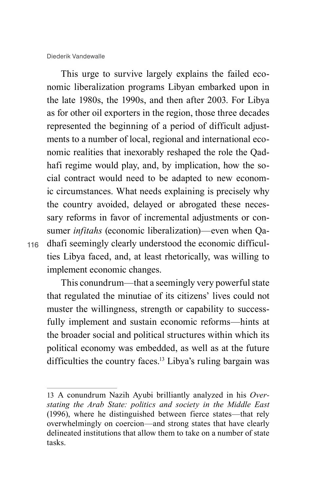Diederik Vandewalle

This urge to survive largely explains the failed economic liberalization programs Libyan embarked upon in the late 1980s, the 1990s, and then after 2003. For Libya as for other oil exporters in the region, those three decades represented the beginning of a period of difficult adjustments to a number of local, regional and international economic realities that inexorably reshaped the role the Qadhafi regime would play, and, by implication, how the social contract would need to be adapted to new economic circumstances. What needs explaining is precisely why the country avoided, delayed or abrogated these necessary reforms in favor of incremental adjustments or consumer *infitahs* (economic liberalization)—even when Qadhafi seemingly clearly understood the economic difficulties Libya faced, and, at least rhetorically, was willing to implement economic changes.

116

This conundrum—that a seemingly very powerful state that regulated the minutiae of its citizens' lives could not muster the willingness, strength or capability to successfully implement and sustain economic reforms—hints at the broader social and political structures within which its political economy was embedded, as well as at the future difficulties the country faces.<sup>13</sup> Libya's ruling bargain was

<sup>13</sup> A conundrum Nazih Ayubi brilliantly analyzed in his *Overstating the Arab State: politics and society in the Middle East* (1996), where he distinguished between fierce states—that rely overwhelmingly on coercion—and strong states that have clearly delineated institutions that allow them to take on a number of state tasks.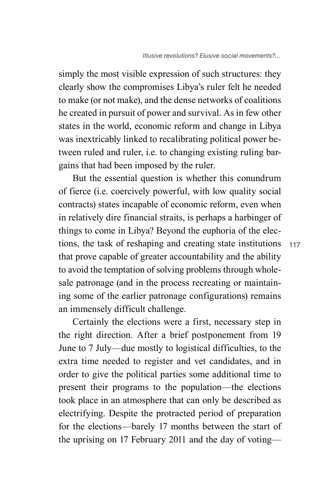simply the most visible expression of such structures: they clearly show the compromises Libya's ruler felt he needed to make (or not make), and the dense networks of coalitions he created in pursuit of power and survival. As in few other states in the world, economic reform and change in Libya was inextricably linked to recalibrating political power between ruled and ruler, i.e. to changing existing ruling bargains that had been imposed by the ruler.

But the essential question is whether this conundrum of fierce (i.e. coercively powerful, with low quality social contracts) states incapable of economic reform, even when in relatively dire financial straits, is perhaps a harbinger of things to come in Libya? Beyond the euphoria of the elections, the task of reshaping and creating state institutions that prove capable of greater accountability and the ability to avoid the temptation of solving problems through wholesale patronage (and in the process recreating or maintaining some of the earlier patronage configurations) remains an immensely difficult challenge.

Certainly the elections were a first, necessary step in the right direction. After a brief postponement from 19 June to 7 July—due mostly to logistical difficulties, to the extra time needed to register and vet candidates, and in order to give the political parties some additional time to present their programs to the population—the elections took place in an atmosphere that can only be described as electrifying. Despite the protracted period of preparation for the elections—barely 17 months between the start of the uprising on 17 February 2011 and the day of voting—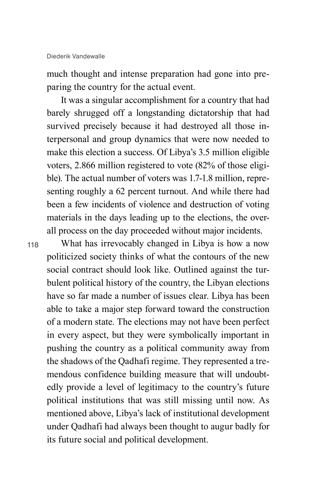much thought and intense preparation had gone into preparing the country for the actual event.

It was a singular accomplishment for a country that had barely shrugged off a longstanding dictatorship that had survived precisely because it had destroyed all those interpersonal and group dynamics that were now needed to make this election a success. Of Libya's 3.5 million eligible voters, 2.866 million registered to vote (82% of those eligible). The actual number of voters was 1.7-1.8 million, representing roughly a 62 percent turnout. And while there had been a few incidents of violence and destruction of voting materials in the days leading up to the elections, the overall process on the day proceeded without major incidents.

118

What has irrevocably changed in Libya is how a now politicized society thinks of what the contours of the new social contract should look like. Outlined against the turbulent political history of the country, the Libyan elections have so far made a number of issues clear. Libya has been able to take a major step forward toward the construction of a modern state. The elections may not have been perfect in every aspect, but they were symbolically important in pushing the country as a political community away from the shadows of the Qadhafi regime. They represented a tremendous confidence building measure that will undoubtedly provide a level of legitimacy to the country's future political institutions that was still missing until now. As mentioned above, Libya's lack of institutional development under Qadhafi had always been thought to augur badly for its future social and political development.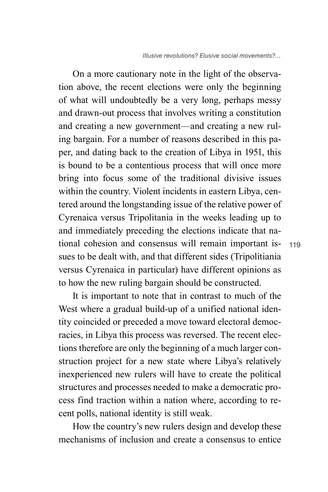On a more cautionary note in the light of the observation above, the recent elections were only the beginning of what will undoubtedly be a very long, perhaps messy and drawn-out process that involves writing a constitution and creating a new government—and creating a new ruling bargain. For a number of reasons described in this paper, and dating back to the creation of Libya in 1951, this is bound to be a contentious process that will once more bring into focus some of the traditional divisive issues within the country. Violent incidents in eastern Libya, centered around the longstanding issue of the relative power of Cyrenaica versus Tripolitania in the weeks leading up to and immediately preceding the elections indicate that national cohesion and consensus will remain important issues to be dealt with, and that different sides (Tripolitiania versus Cyrenaica in particular) have different opinions as to how the new ruling bargain should be constructed.

It is important to note that in contrast to much of the West where a gradual build-up of a unified national identity coincided or preceded a move toward electoral democracies, in Libya this process was reversed. The recent elections therefore are only the beginning of a much larger construction project for a new state where Libya's relatively inexperienced new rulers will have to create the political structures and processes needed to make a democratic process find traction within a nation where, according to recent polls, national identity is still weak.

How the country's new rulers design and develop these mechanisms of inclusion and create a consensus to entice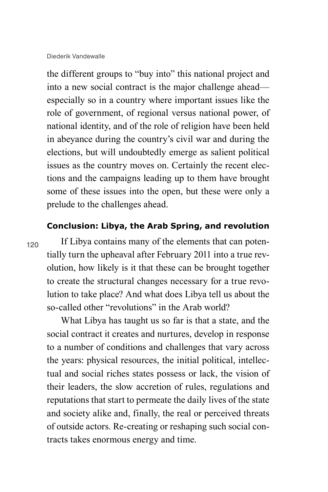120

the different groups to "buy into" this national project and into a new social contract is the major challenge ahead especially so in a country where important issues like the role of government, of regional versus national power, of national identity, and of the role of religion have been held in abeyance during the country's civil war and during the elections, but will undoubtedly emerge as salient political issues as the country moves on. Certainly the recent elections and the campaigns leading up to them have brought some of these issues into the open, but these were only a prelude to the challenges ahead.

#### **Conclusion: Libya, the Arab Spring, and revolution**

If Libya contains many of the elements that can potentially turn the upheaval after February 2011 into a true revolution, how likely is it that these can be brought together to create the structural changes necessary for a true revolution to take place? And what does Libya tell us about the so-called other "revolutions" in the Arab world?

What Libya has taught us so far is that a state, and the social contract it creates and nurtures, develop in response to a number of conditions and challenges that vary across the years: physical resources, the initial political, intellectual and social riches states possess or lack, the vision of their leaders, the slow accretion of rules, regulations and reputations that start to permeate the daily lives of the state and society alike and, finally, the real or perceived threats of outside actors. Re-creating or reshaping such social contracts takes enormous energy and time.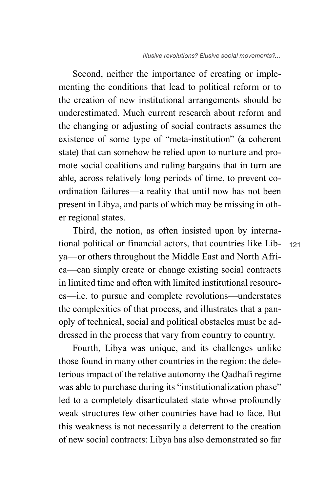Second, neither the importance of creating or implementing the conditions that lead to political reform or to the creation of new institutional arrangements should be underestimated. Much current research about reform and the changing or adjusting of social contracts assumes the existence of some type of "meta-institution" (a coherent state) that can somehow be relied upon to nurture and promote social coalitions and ruling bargains that in turn are able, across relatively long periods of time, to prevent coordination failures—a reality that until now has not been present in Libya, and parts of which may be missing in other regional states.

Third, the notion, as often insisted upon by international political or financial actors, that countries like Libya—or others throughout the Middle East and North Africa—can simply create or change existing social contracts in limited time and often with limited institutional resources—i.e. to pursue and complete revolutions—understates the complexities of that process, and illustrates that a panoply of technical, social and political obstacles must be addressed in the process that vary from country to country.

Fourth, Libya was unique, and its challenges unlike those found in many other countries in the region: the deleterious impact of the relative autonomy the Qadhafi regime was able to purchase during its "institutionalization phase" led to a completely disarticulated state whose profoundly weak structures few other countries have had to face. But this weakness is not necessarily a deterrent to the creation of new social contracts: Libya has also demonstrated so far